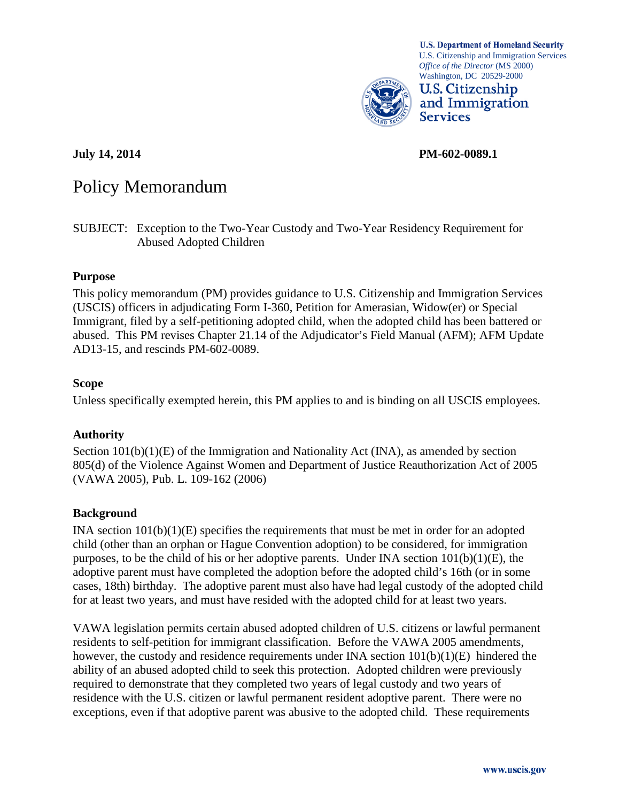

**U.S. Department of Homeland Security** U.S. Citizenship and Immigration Services *Office of the Director* (MS 2000) Washington, DC 20529-2000



**July 14, 2014 PM-602-0089.1**

# Policy Memorandum

SUBJECT: Exception to the Two-Year Custody and Two-Year Residency Requirement for Abused Adopted Children

## **Purpose**

This policy memorandum (PM) provides guidance to U.S. Citizenship and Immigration Services (USCIS) officers in adjudicating Form I-360, Petition for Amerasian, Widow(er) or Special Immigrant, filed by a self-petitioning adopted child, when the adopted child has been battered or abused. This PM revises Chapter 21.14 of the Adjudicator's Field Manual (AFM); AFM Update AD13-15, and rescinds PM-602-0089.

#### **Scope**

Unless specifically exempted herein, this PM applies to and is binding on all USCIS employees.

## **Authority**

Section  $101(b)(1)(E)$  of the Immigration and Nationality Act (INA), as amended by section 805(d) of the Violence Against Women and Department of Justice Reauthorization Act of 2005 (VAWA 2005), Pub. L. 109-162 (2006)

## **Background**

INA section  $101(b)(1)(E)$  specifies the requirements that must be met in order for an adopted child (other than an orphan or Hague Convention adoption) to be considered, for immigration purposes, to be the child of his or her adoptive parents. Under INA section  $101(b)(1)(E)$ , the adoptive parent must have completed the adoption before the adopted child's 16th (or in some cases, 18th) birthday. The adoptive parent must also have had legal custody of the adopted child for at least two years, and must have resided with the adopted child for at least two years.

VAWA legislation permits certain abused adopted children of U.S. citizens or lawful permanent residents to self-petition for immigrant classification. Before the VAWA 2005 amendments, however, the custody and residence requirements under INA section  $101(b)(1)(E)$  hindered the ability of an abused adopted child to seek this protection. Adopted children were previously required to demonstrate that they completed two years of legal custody and two years of residence with the U.S. citizen or lawful permanent resident adoptive parent. There were no exceptions, even if that adoptive parent was abusive to the adopted child. These requirements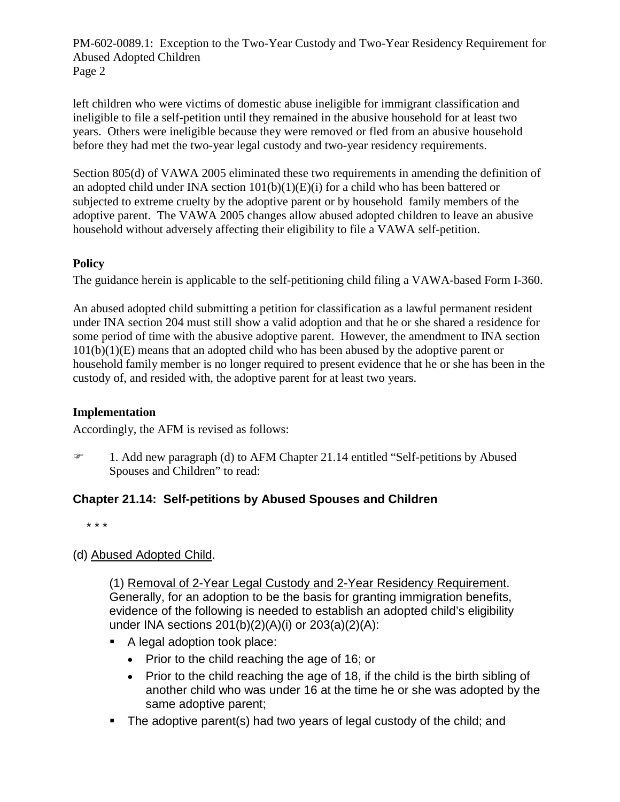left children who were victims of domestic abuse ineligible for immigrant classification and ineligible to file a self-petition until they remained in the abusive household for at least two years. Others were ineligible because they were removed or fled from an abusive household before they had met the two-year legal custody and two-year residency requirements.

Section 805(d) of VAWA 2005 eliminated these two requirements in amending the definition of an adopted child under INA section  $101(b)(1)(E)(i)$  for a child who has been battered or subjected to extreme cruelty by the adoptive parent or by household family members of the adoptive parent. The VAWA 2005 changes allow abused adopted children to leave an abusive household without adversely affecting their eligibility to file a VAWA self-petition.

# **Policy**

The guidance herein is applicable to the self-petitioning child filing a VAWA-based Form I-360.

An abused adopted child submitting a petition for classification as a lawful permanent resident under INA section 204 must still show a valid adoption and that he or she shared a residence for some period of time with the abusive adoptive parent. However, the amendment to INA section 101(b)(1)(E) means that an adopted child who has been abused by the adoptive parent or household family member is no longer required to present evidence that he or she has been in the custody of, and resided with, the adoptive parent for at least two years.

# **Implementation**

Accordingly, the AFM is revised as follows:

 1. Add new paragraph (d) to AFM Chapter 21.14 entitled "Self-petitions by Abused Spouses and Children" to read:

# **Chapter 21.14: Self-petitions by Abused Spouses and Children**

\* \* \*

# (d) Abused Adopted Child.

(1) Removal of 2-Year Legal Custody and 2-Year Residency Requirement. Generally, for an adoption to be the basis for granting immigration benefits, evidence of the following is needed to establish an adopted child's eligibility under INA sections 201(b)(2)(A)(i) or 203(a)(2)(A):

- A legal adoption took place:
	- Prior to the child reaching the age of 16; or
	- Prior to the child reaching the age of 18, if the child is the birth sibling of another child who was under 16 at the time he or she was adopted by the same adoptive parent;
- The adoptive parent(s) had two years of legal custody of the child; and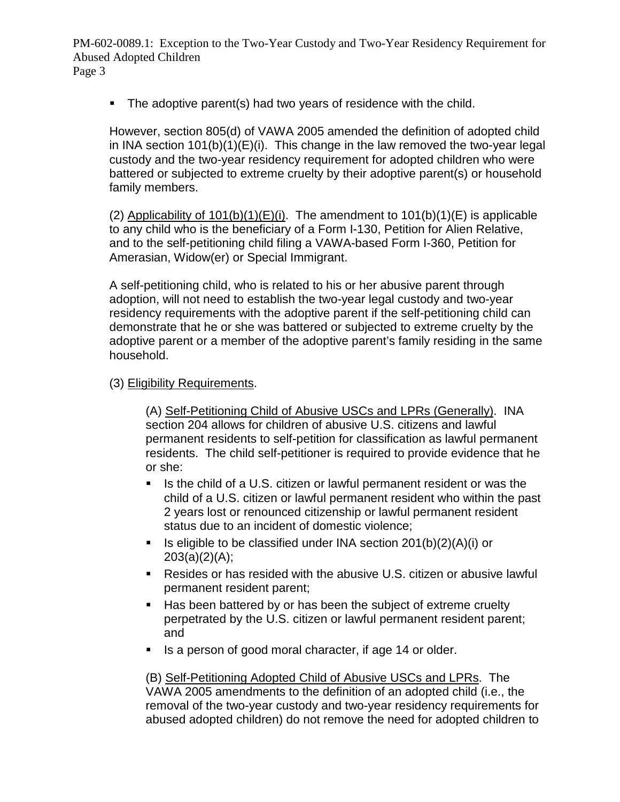• The adoptive parent(s) had two years of residence with the child.

However, section 805(d) of VAWA 2005 amended the definition of adopted child in INA section 101(b)(1)(E)(i). This change in the law removed the two-year legal custody and the two-year residency requirement for adopted children who were battered or subjected to extreme cruelty by their adoptive parent(s) or household family members.

(2) Applicability of  $101(b)(1)(E)(i)$ . The amendment to  $101(b)(1)(E)$  is applicable to any child who is the beneficiary of a Form I-130, Petition for Alien Relative, and to the self-petitioning child filing a VAWA-based Form I-360, Petition for Amerasian, Widow(er) or Special Immigrant.

A self-petitioning child, who is related to his or her abusive parent through adoption, will not need to establish the two-year legal custody and two-year residency requirements with the adoptive parent if the self-petitioning child can demonstrate that he or she was battered or subjected to extreme cruelty by the adoptive parent or a member of the adoptive parent's family residing in the same household.

# (3) Eligibility Requirements.

(A) Self-Petitioning Child of Abusive USCs and LPRs (Generally). INA section 204 allows for children of abusive U.S. citizens and lawful permanent residents to self-petition for classification as lawful permanent residents. The child self-petitioner is required to provide evidence that he or she:

- Is the child of a U.S. citizen or lawful permanent resident or was the child of a U.S. citizen or lawful permanent resident who within the past 2 years lost or renounced citizenship or lawful permanent resident status due to an incident of domestic violence;
- Is eligible to be classified under INA section  $201(b)(2)(A)(i)$  or  $203(a)(2)(A);$
- Resides or has resided with the abusive U.S. citizen or abusive lawful permanent resident parent;
- Has been battered by or has been the subject of extreme cruelty perpetrated by the U.S. citizen or lawful permanent resident parent; and
- Is a person of good moral character, if age 14 or older.

(B) Self-Petitioning Adopted Child of Abusive USCs and LPRs. The VAWA 2005 amendments to the definition of an adopted child (i.e., the removal of the two-year custody and two-year residency requirements for abused adopted children) do not remove the need for adopted children to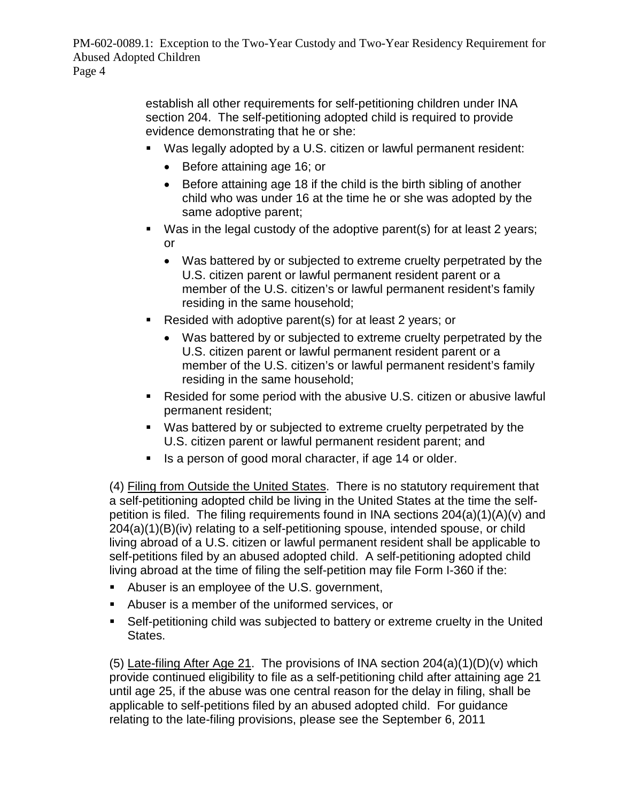> establish all other requirements for self-petitioning children under INA section 204. The self-petitioning adopted child is required to provide evidence demonstrating that he or she:

- Was legally adopted by a U.S. citizen or lawful permanent resident:
	- Before attaining age 16; or
	- Before attaining age 18 if the child is the birth sibling of another child who was under 16 at the time he or she was adopted by the same adoptive parent;
- Was in the legal custody of the adoptive parent(s) for at least 2 years; or
	- Was battered by or subjected to extreme cruelty perpetrated by the U.S. citizen parent or lawful permanent resident parent or a member of the U.S. citizen's or lawful permanent resident's family residing in the same household;
- Resided with adoptive parent(s) for at least 2 years; or
	- Was battered by or subjected to extreme cruelty perpetrated by the U.S. citizen parent or lawful permanent resident parent or a member of the U.S. citizen's or lawful permanent resident's family residing in the same household;
- Resided for some period with the abusive U.S. citizen or abusive lawful permanent resident;
- Was battered by or subjected to extreme cruelty perpetrated by the U.S. citizen parent or lawful permanent resident parent; and
- Is a person of good moral character, if age 14 or older.

(4) Filing from Outside the United States. There is no statutory requirement that a self-petitioning adopted child be living in the United States at the time the selfpetition is filed. The filing requirements found in INA sections 204(a)(1)(A)(v) and 204(a)(1)(B)(iv) relating to a self-petitioning spouse, intended spouse, or child living abroad of a U.S. citizen or lawful permanent resident shall be applicable to self-petitions filed by an abused adopted child. A self-petitioning adopted child living abroad at the time of filing the self-petition may file Form I-360 if the:

- Abuser is an employee of the U.S. government,
- Abuser is a member of the uniformed services, or
- Self-petitioning child was subjected to battery or extreme cruelty in the United States.

(5) Late-filing After Age 21. The provisions of INA section 204(a)(1)(D)(v) which provide continued eligibility to file as a self-petitioning child after attaining age 21 until age 25, if the abuse was one central reason for the delay in filing, shall be applicable to self-petitions filed by an abused adopted child. For guidance relating to the late-filing provisions, please see the September 6, 2011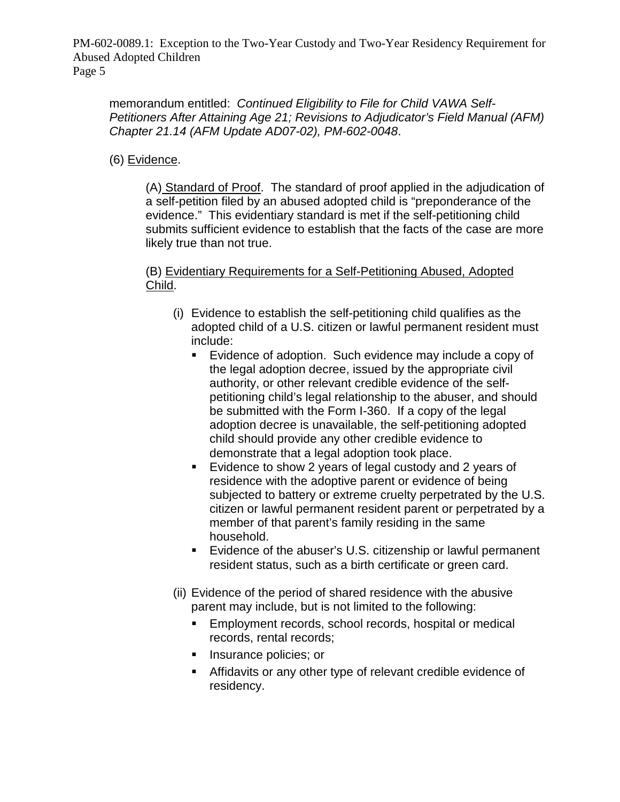memorandum entitled: *Continued Eligibility to File for Child VAWA Self-Petitioners After Attaining Age 21; Revisions to Adjudicator's Field Manual (AFM) Chapter 21.14 (AFM Update AD07-02), PM-602-0048*.

(6) Evidence.

(A) Standard of Proof. The standard of proof applied in the adjudication of a self-petition filed by an abused adopted child is "preponderance of the evidence." This evidentiary standard is met if the self-petitioning child submits sufficient evidence to establish that the facts of the case are more likely true than not true.

(B) Evidentiary Requirements for a Self-Petitioning Abused, Adopted Child.

- (i) Evidence to establish the self-petitioning child qualifies as the adopted child of a U.S. citizen or lawful permanent resident must include:
	- Evidence of adoption. Such evidence may include a copy of the legal adoption decree, issued by the appropriate civil authority, or other relevant credible evidence of the selfpetitioning child's legal relationship to the abuser, and should be submitted with the Form I-360. If a copy of the legal adoption decree is unavailable, the self-petitioning adopted child should provide any other credible evidence to demonstrate that a legal adoption took place.
	- Evidence to show 2 years of legal custody and 2 years of residence with the adoptive parent or evidence of being subjected to battery or extreme cruelty perpetrated by the U.S. citizen or lawful permanent resident parent or perpetrated by a member of that parent's family residing in the same household.
	- Evidence of the abuser's U.S. citizenship or lawful permanent resident status, such as a birth certificate or green card.
- (ii) Evidence of the period of shared residence with the abusive parent may include, but is not limited to the following:
	- **Employment records, school records, hospital or medical** records, rental records;
	- **Insurance policies; or**
	- Affidavits or any other type of relevant credible evidence of residency.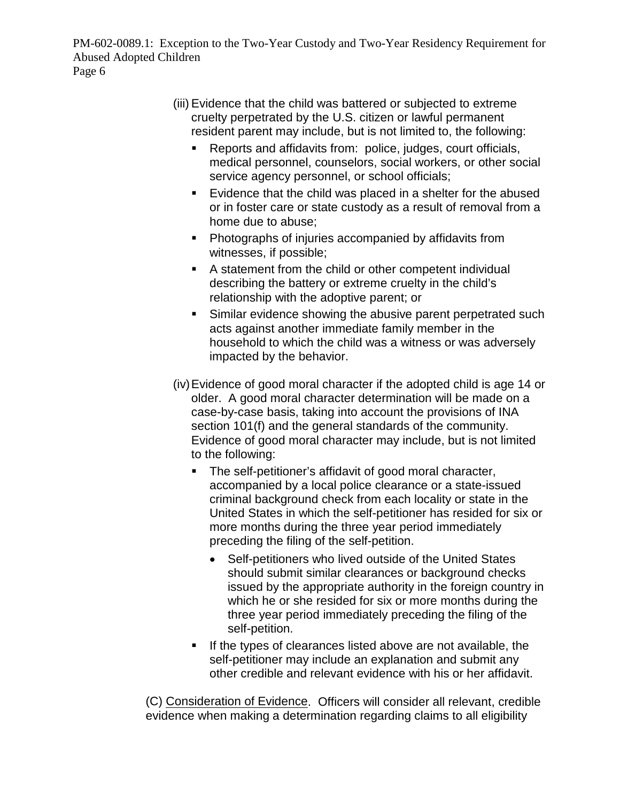- (iii) Evidence that the child was battered or subjected to extreme cruelty perpetrated by the U.S. citizen or lawful permanent resident parent may include, but is not limited to, the following:
	- Reports and affidavits from: police, judges, court officials, medical personnel, counselors, social workers, or other social service agency personnel, or school officials;
	- **Evidence that the child was placed in a shelter for the abused** or in foster care or state custody as a result of removal from a home due to abuse;
	- Photographs of injuries accompanied by affidavits from witnesses, if possible;
	- A statement from the child or other competent individual describing the battery or extreme cruelty in the child's relationship with the adoptive parent; or
	- **Similar evidence showing the abusive parent perpetrated such** acts against another immediate family member in the household to which the child was a witness or was adversely impacted by the behavior.
- (iv)Evidence of good moral character if the adopted child is age 14 or older. A good moral character determination will be made on a case-by-case basis, taking into account the provisions of INA section 101(f) and the general standards of the community. Evidence of good moral character may include, but is not limited to the following:
	- The self-petitioner's affidavit of good moral character, accompanied by a local police clearance or a state-issued criminal background check from each locality or state in the United States in which the self-petitioner has resided for six or more months during the three year period immediately preceding the filing of the self-petition.
		- Self-petitioners who lived outside of the United States should submit similar clearances or background checks issued by the appropriate authority in the foreign country in which he or she resided for six or more months during the three year period immediately preceding the filing of the self-petition.
	- If the types of clearances listed above are not available, the self-petitioner may include an explanation and submit any other credible and relevant evidence with his or her affidavit.

(C) Consideration of Evidence. Officers will consider all relevant, credible evidence when making a determination regarding claims to all eligibility